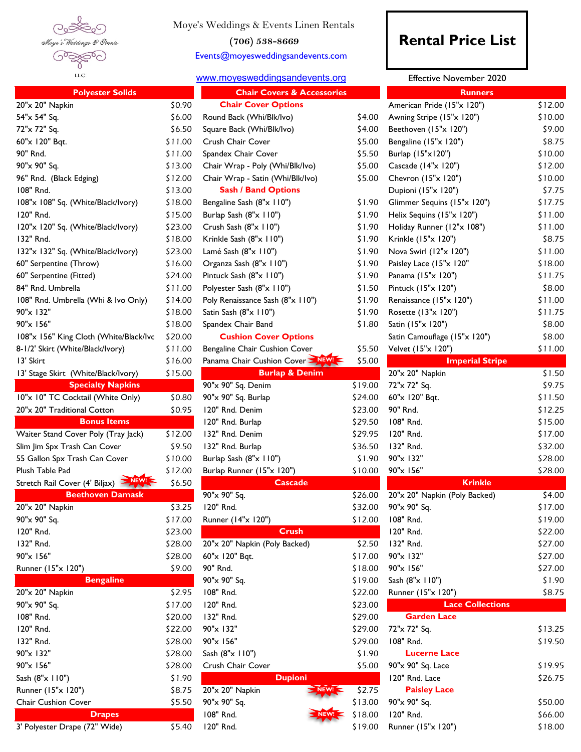

Moye's Weddings & Events Linen Rentals

**(706) 538-8669**

Events@moyesweddingsandevents.com

## [w](http://www.moyesweddingsandevents.org/)ww.moyesweddingsandevents.org

| <b>Polyester Solids</b>                                      |         | <b>Chair Covers &amp; Accessories</b> |         | <b>Runners</b>                |         |
|--------------------------------------------------------------|---------|---------------------------------------|---------|-------------------------------|---------|
| 20"x 20" Napkin                                              | \$0.90  | <b>Chair Cover Options</b>            |         | American Pride (15"x 120")    | \$12.00 |
| 54"x 54" Sq.                                                 | \$6.00  | Round Back (Whi/Blk/Ivo)              | \$4.00  | Awning Stripe (15"x 120")     | \$10.00 |
| 72"x 72" Sq.                                                 | \$6.50  | Square Back (Whi/Blk/Ivo)             | \$4.00  | Beethoven (15"x 120")         | \$9.00  |
| 60"x 120" Bqt.                                               | \$11.00 | Crush Chair Cover                     | \$5.00  | Bengaline (15"x 120")         | \$8.75  |
| 90" Rnd.                                                     | \$11.00 | Spandex Chair Cover                   | \$5.50  | Burlap (15"x120")             | \$10.00 |
| 90"x 90" Sq.                                                 | \$13.00 | Chair Wrap - Poly (Whi/Blk/Ivo)       | \$5.00  | Cascade (14"x 120")           | \$12.00 |
| 96" Rnd. (Black Edging)                                      | \$12.00 | Chair Wrap - Satin (Whi/Blk/Ivo)      | \$5.00  | Chevron (15"x 120")           | \$10.00 |
| 108" Rnd.                                                    | \$13.00 | <b>Sash / Band Options</b>            |         | Dupioni (15"x 120")           | \$7.75  |
| 108"x 108" Sq. (White/Black/Ivory)                           | \$18.00 | Bengaline Sash (8"x 110")             | \$1.90  | Glimmer Sequins (15"x 120")   | \$17.75 |
| 120" Rnd.                                                    | \$15.00 | Burlap Sash (8"x 110")                | \$1.90  | Helix Sequins (15"x 120")     | \$11.00 |
| 120"x 120" Sq. (White/Black/Ivory)                           | \$23.00 | Crush Sash (8"x 110")                 | \$1.90  | Holiday Runner (12"x 108")    | \$11.00 |
| 132" Rnd.                                                    | \$18.00 | Krinkle Sash (8"x 110")               | \$1.90  | Krinkle (15"x 120")           | \$8.75  |
| 132"x 132" Sq. (White/Black/Ivory)                           | \$23.00 | Lamé Sash (8"x 110")                  | \$1.90  | Nova Swirl (12"x 120")        | \$11.00 |
| 60" Serpentine (Throw)                                       | \$16.00 | Organza Sash (8"x 110")               | \$1.90  | Paisley Lace (15"x 120"       | \$18.00 |
| 60" Serpentine (Fitted)                                      | \$24.00 | Pintuck Sash (8"x 110")               | \$1.90  | Panama (15"x 120")            | \$11.75 |
| 84" Rnd. Umbrella                                            | \$11.00 | Polyester Sash (8"x 110")             | \$1.50  | Pintuck (15"x 120")           | \$8.00  |
| 108" Rnd. Umbrella (Whi & Ivo Only)                          | \$14.00 | Poly Renaissance Sash (8"x 110")      | \$1.90  | Renaissance (15"x 120")       | \$11.00 |
| 90"x 132"                                                    | \$18.00 | Satin Sash (8"x 110")                 | \$1.90  | Rosette (13"x 120")           | \$11.75 |
| 90"x 156"                                                    | \$18.00 | Spandex Chair Band                    | \$1.80  | Satin (15"x 120")             | \$8.00  |
| 108"x 156" King Cloth (White/Black/Ivc                       | \$20.00 | <b>Cushion Cover Options</b>          |         | Satin Camouflage (15"x 120")  | \$8.00  |
| 8-1/2' Skirt (White/Black/Ivory)                             | \$11.00 | Bengaline Chair Cushion Cover         | \$5.50  | Velvet (15"x 120")            | \$11.00 |
| 13' Skirt                                                    | \$16.00 | Panama Chair Cushion Cover > NEWL     | \$5.00  | <b>Imperial Stripe</b>        |         |
| 13' Stage Skirt (White/Black/Ivory)                          | \$15.00 | <b>Burlap &amp; Denim</b>             |         | 20"x 20" Napkin               | \$1.50  |
| <b>Specialty Napkins</b>                                     |         | 90"x 90" Sq. Denim                    | \$19.00 | 72"x 72" Sq.                  | \$9.75  |
| 10"x 10" TC Cocktail (White Only)                            | \$0.80  | 90"x 90" Sq. Burlap                   | \$24.00 | 60"x 120" Bqt.                | \$11.50 |
| 20"x 20" Traditional Cotton                                  | \$0.95  | 120" Rnd. Denim                       | \$23.00 | 90" Rnd.                      | \$12.25 |
| <b>Bonus Items</b>                                           |         | 120" Rnd. Burlap                      | \$29.50 | 108" Rnd.                     | \$15.00 |
| Waiter Stand Cover Poly (Tray Jack)                          | \$12.00 | 132" Rnd. Denim                       | \$29.95 | 120" Rnd.                     | \$17.00 |
| Slim Jim Spx Trash Can Cover                                 | \$9.50  | 132" Rnd. Burlap                      | \$36.50 | 132" Rnd.                     | \$32.00 |
| 55 Gallon Spx Trash Can Cover                                | \$10.00 | Burlap Sash (8"x 110")                | \$1.90  | 90"x 132"                     | \$28.00 |
| Plush Table Pad                                              | \$12.00 | Burlap Runner (15"x 120")             | \$10.00 | 90"x 156"                     | \$28.00 |
| $\blacktriangleright$ NEW!<br>Stretch Rail Cover (4' Biljax) | \$6.50  | <b>Cascade</b>                        |         | <b>Krinkle</b>                |         |
| <b>Beethoven Damask</b>                                      |         | 90"x 90" Sq.                          | \$26.00 | 20"x 20" Napkin (Poly Backed) | \$4.00  |
| 20"x 20" Napkin                                              | \$3.25  | 120" Rnd.                             | \$32.00 | 90"x 90" Sq.                  | \$17.00 |
| 90"x 90" Sq.                                                 | \$17.00 | Runner (14"x 120")                    | \$12.00 | 108" Rnd.                     | \$19.00 |
| 120" Rnd.                                                    | \$23.00 | <b>Crush</b>                          |         | 120" Rnd.                     | \$22.00 |
| 132" Rnd.                                                    | \$28.00 | 20"x 20" Napkin (Poly Backed)         | \$2.50  | 132" Rnd.                     | \$27.00 |
| 90"x 156"                                                    | \$28.00 | 60"x 120" Bqt.                        | \$17.00 | 90"x 132"                     | \$27.00 |
| Runner (15"x 120")                                           | \$9.00  | 90" Rnd.                              | \$18.00 | 90"x 156"                     | \$27.00 |
| <b>Bengaline</b>                                             |         | 90"x 90" Sq.                          | \$19.00 | Sash (8"x 110")               | \$1.90  |
| 20"x 20" Napkin                                              | \$2.95  | 108" Rnd.                             | \$22.00 | Runner (15"x 120")            | \$8.75  |
| 90"x 90" Sq.                                                 | \$17.00 | 120" Rnd.                             | \$23.00 | <b>Lace Collections</b>       |         |
| 108" Rnd.                                                    | \$20.00 | 132" Rnd.                             | \$29.00 | <b>Garden Lace</b>            |         |
| 120" Rnd.                                                    | \$22.00 | 90"x 132"                             | \$29.00 | 72"x 72" Sq.                  | \$13.25 |
| 132" Rnd.                                                    | \$28.00 |                                       |         | 108" Rnd.                     | \$19.50 |
|                                                              |         | 90"x 156"                             | \$29.00 | <b>Lucerne Lace</b>           |         |
| 90"x 132"                                                    | \$28.00 | Sash (8"x 110")                       | \$1.90  |                               |         |
| 90"x 156"                                                    | \$28.00 | Crush Chair Cover                     | \$5.00  | 90"x 90" Sq. Lace             | \$19.95 |
| Sash (8"x 110")                                              | \$1.90  | <b>Dupioni</b><br>NEW!                |         | 120" Rnd. Lace                | \$26.75 |
| Runner (15"x 120")                                           | \$8.75  | 20"x 20" Napkin                       | \$2.75  | <b>Paisley Lace</b>           |         |
| Chair Cushion Cover                                          | \$5.50  | 90"x 90" Sq.                          | \$13.00 | 90"x 90" Sq.                  | \$50.00 |
| <b>Drapes</b>                                                |         | 108" Rnd.<br>NEW!                     | \$18.00 | 120" Rnd.                     | \$66.00 |
| 3' Polyester Drape (72" Wide)                                | \$5.40  | 120" Rnd.                             | \$19.00 | Runner (15"x 120")            | \$18.00 |

## **Rental Price List**

Effective November 2020

| <b>Chair Covers &amp; Accessories</b> |         | <b>Runners</b>                |         |  |
|---------------------------------------|---------|-------------------------------|---------|--|
| <b>Chair Cover Options</b>            |         | American Pride (15"x 120")    | \$12.00 |  |
| Round Back (Whi/Blk/Ivo)              | \$4.00  | Awning Stripe (15"x 120")     | \$10.00 |  |
| Square Back (Whi/Blk/Ivo)             | \$4.00  | Beethoven (15"x 120")         | \$9.00  |  |
| Crush Chair Cover                     | \$5.00  | Bengaline (15"x 120")         | \$8.75  |  |
| Spandex Chair Cover                   | \$5.50  | Burlap (15"x120")             | \$10.00 |  |
| Chair Wrap - Poly (Whi/Blk/Ivo)       | \$5.00  | Cascade (14"x 120")           | \$12.00 |  |
| Chair Wrap - Satin (Whi/Blk/Ivo)      | \$5.00  | Chevron (15"x 120")           | \$10.00 |  |
| <b>Sash / Band Options</b>            |         | Dupioni (15"x 120")           | \$7.75  |  |
| Bengaline Sash (8"x 110")             | \$1.90  | Glimmer Sequins (15"x 120")   | \$17.75 |  |
| Burlap Sash (8"x 110")                | \$1.90  | Helix Sequins (15"x 120")     | \$11.00 |  |
| Crush Sash (8"x 110")                 | \$1.90  | Holiday Runner (12"x 108")    | \$11.00 |  |
| Krinkle Sash (8"x 110")               | \$1.90  | Krinkle (15"x 120")           | \$8.75  |  |
| Lamé Sash (8"x 110")                  | \$1.90  | Nova Swirl (12"x 120")        | \$11.00 |  |
| Organza Sash (8"x 110")               | \$1.90  | Paisley Lace (15"x 120"       | \$18.00 |  |
| Pintuck Sash (8"x 110")               | \$1.90  | Panama (15"x 120")            | \$11.75 |  |
| Polyester Sash (8"x 110")             | \$1.50  | Pintuck (15"x 120")           | \$8.00  |  |
| Poly Renaissance Sash (8"x 110")      | \$1.90  | Renaissance (15"x 120")       | \$11.00 |  |
| Satin Sash (8"x 110")                 | \$1.90  | Rosette (13"x 120")           | \$11.75 |  |
| Spandex Chair Band                    | \$1.80  | Satin (15"x 120")             | \$8.00  |  |
| <b>Cushion Cover Options</b>          |         | Satin Camouflage (15"x 120")  | \$8.00  |  |
| Bengaline Chair Cushion Cover         | \$5.50  | Velvet (15"x 120")            | \$11.00 |  |
| Panama Chair Cushion Cover > NEW      | \$5.00  | <b>Imperial Stripe</b>        |         |  |
| <b>Burlap &amp; Denim</b>             |         | 20"x 20" Napkin               | \$1.50  |  |
| 90"x 90" Sq. Denim                    | \$19.00 | 72"x 72" Sq.                  | \$9.75  |  |
| 90"x 90" Sq. Burlap                   | \$24.00 | 60"x 120" Bqt.                | \$11.50 |  |
| 120" Rnd. Denim                       | \$23.00 | 90" Rnd.                      | \$12.25 |  |
| 120" Rnd. Burlap                      | \$29.50 | 108" Rnd.                     | \$15.00 |  |
| 132" Rnd. Denim                       | \$29.95 | 120" Rnd.                     | \$17.00 |  |
| 132" Rnd. Burlap                      | \$36.50 | 132" Rnd.                     | \$32.00 |  |
| Burlap Sash (8"x 110")                | \$1.90  | 90"x 132"                     | \$28.00 |  |
| Burlap Runner (15"x 120")             | \$10.00 | 90"x 156"                     | \$28.00 |  |
| <b>Cascade</b>                        |         | <b>Krinkle</b>                |         |  |
| 90"x 90" Sq.                          | \$26.00 | 20"x 20" Napkin (Poly Backed) | \$4.00  |  |
| 120" Rnd.                             | \$32.00 | 90"x 90" Sq.                  | \$17.00 |  |
| Runner (14"x 120")                    | \$12.00 | 108" Rnd.                     | \$19.00 |  |
| <b>Crush</b>                          |         | 120" Rnd.                     | \$22.00 |  |
| 20"x 20" Napkin (Poly Backed)         | \$2.50  | 132" Rnd.                     | \$27.00 |  |
| 60"x 120" Bqt.                        | \$17.00 | 90"x 132"                     | \$27.00 |  |
| 90" Rnd.                              | \$18.00 | 90"x 156"                     | \$27.00 |  |
| 90"x 90" Sq.                          | \$19.00 | Sash (8"x 110")               | \$1.90  |  |
| 108" Rnd.                             | \$22.00 | Runner (15"x 120")            | \$8.75  |  |
| 120" Rnd.                             | \$23.00 | <b>Lace Collections</b>       |         |  |
| 132" Rnd.                             | \$29.00 | <b>Garden Lace</b>            |         |  |
| 90"x 132"                             | \$29.00 | 72"x 72" Sq.                  | \$13.25 |  |
| 90"x 156"                             | \$29.00 | 108" Rnd.                     | \$19.50 |  |
| Sash (8"x 110")                       | \$1.90  | <b>Lucerne Lace</b>           |         |  |
| Crush Chair Cover                     | \$5.00  | 90"x 90" Sq. Lace             | \$19.95 |  |
| <b>Dupioni</b>                        |         | 120" Rnd. Lace                | \$26.75 |  |
| 20"x 20" Napkin                       | \$2.75  | <b>Paisley Lace</b>           |         |  |
| 90"x 90" Sq.                          | \$13.00 | 90"x 90" Sq.                  | \$50.00 |  |
| 108" Rnd.                             | \$18.00 | 120" Rnd.                     | \$66.00 |  |
| 120" Rnd.                             | \$19.00 | Runner (15"x 120")            | \$18.00 |  |
|                                       |         |                               |         |  |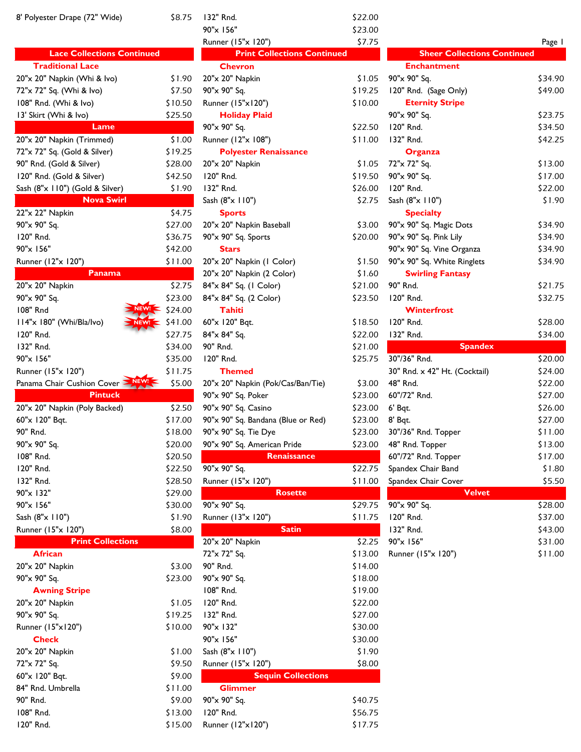| 8' Polyester Drape (72" Wide)           | \$8.75            | 132" Rnd.                 |
|-----------------------------------------|-------------------|---------------------------|
|                                         |                   | 90"x 156"                 |
|                                         |                   | Runner (15"x 1            |
| <b>Lace Collections Continued</b>       |                   | <b>Print</b>              |
| <b>Traditional Lace</b>                 |                   | <b>Chevron</b>            |
| 20"x 20" Napkin (Whi & Ivo)             | \$1.90            | 20"x 20" Napki            |
| 72"x 72" Sq. (Whi & Ivo)                | \$7.50            | 90"x 90" Sq.              |
| 108" Rnd. (Whi & Ivo)                   | \$10.50           | Runner (15"x1)            |
| 13' Skirt (Whi & Ivo)                   | \$25.50           | <b>Holiday F</b>          |
| Lame                                    |                   | 90"x 90" Sq.              |
| 20"x 20" Napkin (Trimmed)               | \$1.00            | Runner (12"x 1            |
| 72"x 72" Sq. (Gold & Silver)            | \$19.25           | <b>Polyester</b>          |
| 90" Rnd. (Gold & Silver)                | \$28.00           | 20"x 20" Napki            |
| 120" Rnd. (Gold & Silver)               | \$42.50           | 120" Rnd.                 |
| Sash (8"x 110") (Gold & Silver)         | \$1.90            | 132" Rnd.                 |
| <b>Nova Swirl</b>                       |                   | Sash (8"x 110")           |
| 22"x 22" Napkin                         | \$4.75            | <b>Sports</b>             |
| 90"x 90" Sq.                            | \$27.00           | 20"x 20" Napki            |
| 120" Rnd.                               | \$36.75           | 90"x 90" Sq. Sp           |
| 90"x 156"                               | \$42.00           | <b>Stars</b>              |
| Runner (12"x 120")                      | \$11.00           | 20"x 20" Napki            |
| Panama                                  |                   | 20"x 20" Napki            |
| 20"x 20" Napkin                         | \$2.75            | 84"x 84" Sq. (1           |
| 90"x 90" Sq.<br><b>NEW</b>              | \$23.00           | 84"x 84" Sq. (2           |
| 108" Rnd                                | \$24.00           | <b>Tahiti</b>             |
| 114"x 180" (Whi/Bla/Ivo)<br>NEW!        | \$41.00           | 60"x 120" Bqt.            |
| 120" Rnd.                               | \$27.75           | 84"x 84" Sq.              |
| 132" Rnd.                               | \$34.00           | 90" Rnd.                  |
| 90"x 156"                               | \$35.00           | 120" Rnd.                 |
|                                         |                   | <b>Themed</b>             |
| Runner (15"x 120")                      | \$11.75           |                           |
| Panama Chair Cushion Cover <sup>2</sup> | \$5.00            | 20"x 20" Napki            |
| <b>Pintuck</b>                          |                   | 90"x 90" Sq. Pc           |
| 20"x 20" Napkin (Poly Backed)           | \$2.50            | 90"x 90" Sq. Ca           |
| 60"x 120" Bqt.                          | \$17.00           | 90"x 90" Sq. Ba           |
| 90" Rnd.                                | \$18.00           | 90"x 90" Sq. Ti           |
| 90"x 90" Sq.                            | \$20.00           | 90"x 90" Sq. Ar           |
| 108" Rnd.                               | \$20.50           |                           |
| 120" Rnd.                               | \$22.50           | 90"x 90" Sq.              |
| 132" Rnd.                               | \$28.50           | Runner (15"x 1            |
| 90"x 132"                               | \$29.00           |                           |
| 90"x 156"                               | \$30.00           | 90"x 90" Sq.              |
| Sash (8"x 110")                         | \$1.90            | Runner (13"x 1            |
| Runner (15"x 120")                      | \$8.00            |                           |
| <b>Print Collections</b>                |                   | 20"x 20" Napki            |
| <b>African</b>                          |                   | 72"x 72" Sq.              |
| 20"x 20" Napkin                         | \$3.00            | 90" Rnd.                  |
| 90"x 90" Sq.                            | \$23.00           | 90"x 90" Sq.              |
| <b>Awning Stripe</b>                    |                   | 108" Rnd.                 |
| 20"x 20" Napkin                         | \$1.05            | 120" Rnd.                 |
| 90"x 90" Sq.                            | \$19.25           | 132" Rnd.                 |
| Runner (15"x120")                       | \$10.00           | 90"x 132"                 |
| <b>Check</b>                            |                   | 90"x 156"                 |
| 20"x 20" Napkin                         | \$1.00            | Sash (8"x 110")           |
| 72"x 72" Sq.                            | \$9.50            | Runner (15"x 1            |
| 60"x 120" Bqt.                          | \$9.00            |                           |
| 84" Rnd. Umbrella                       | \$11.00           | <b>Glimmer</b>            |
| 90" Rnd.<br>108" Rnd.                   | \$9.00<br>\$13.00 | 90"x 90" Sq.<br>120" Rnd. |

| 8' Polyester Drape (72" Wide)     | \$8.75         | 132" Rnd.                          | \$22.00 |                                    |         |
|-----------------------------------|----------------|------------------------------------|---------|------------------------------------|---------|
|                                   |                | 90"x 156"                          | \$23.00 |                                    |         |
|                                   |                | Runner (15"x 120")                 | \$7.75  |                                    | Page I  |
| <b>Lace Collections Continued</b> |                | <b>Print Collections Continued</b> |         | <b>Sheer Collections Continued</b> |         |
| <b>Traditional Lace</b>           |                | <b>Chevron</b>                     |         | <b>Enchantment</b>                 |         |
| 20"x 20" Napkin (Whi & Ivo)       | \$1.90         | 20"x 20" Napkin                    | \$1.05  | 90"x 90" Sq.                       | \$34.90 |
| 72"x 72" Sq. (Whi & Ivo)          | \$7.50         | 90"x 90" Sq.                       | \$19.25 | 120" Rnd. (Sage Only)              | \$49.00 |
| 108" Rnd. (Whi & Ivo)             | \$10.50        | Runner (15"x120")                  | \$10.00 | <b>Eternity Stripe</b>             |         |
| 13' Skirt (Whi & Ivo)             | \$25.50        | <b>Holiday Plaid</b>               |         | 90"x 90" Sq.                       | \$23.75 |
| Lame                              |                | 90"x 90" Sq.                       | \$22.50 | 120" Rnd.                          | \$34.50 |
| 20"x 20" Napkin (Trimmed)         | \$1.00         | Runner (12"x 108")                 | \$11.00 | 132" Rnd.                          | \$42.25 |
| 72"x 72" Sq. (Gold & Silver)      | \$19.25        | <b>Polyester Renaissance</b>       |         | Organza                            |         |
| 90" Rnd. (Gold & Silver)          | \$28.00        | 20"x 20" Napkin                    | \$1.05  | 72"x 72" Sq.                       | \$13.00 |
| 120" Rnd. (Gold & Silver)         | \$42.50        | 120" Rnd.                          | \$19.50 | 90"x 90" Sq.                       | \$17.00 |
| Sash (8"x 110") (Gold & Silver)   | \$1.90         | 132" Rnd.                          | \$26.00 | 120" Rnd.                          | \$22.00 |
| <b>Nova Swirl</b>                 |                | Sash (8"x 110")                    | \$2.75  | Sash (8"x 110")                    | \$1.90  |
| 22"x 22" Napkin                   | \$4.75         | <b>Sports</b>                      |         | <b>Specialty</b>                   |         |
| 90"x 90" Sq.                      | \$27.00        | 20"x 20" Napkin Baseball           | \$3.00  | 90"x 90" Sq. Magic Dots            | \$34.90 |
| 120" Rnd.                         | \$36.75        | 90"x 90" Sq. Sports                | \$20.00 | 90"x 90" Sq. Pink Lily             | \$34.90 |
| 90"x 156"                         | \$42.00        | <b>Stars</b>                       |         | 90"x 90" Sq. Vine Organza          | \$34.90 |
| Runner (12"x 120")                | \$11.00        | 20"x 20" Napkin (I Color)          | \$1.50  | 90"x 90" Sq. White Ringlets        | \$34.90 |
| Panama                            |                | 20"x 20" Napkin (2 Color)          | \$1.60  | <b>Swirling Fantasy</b>            |         |
| 20"x 20" Napkin                   | \$2.75         | 84"x 84" Sq. (1 Color)             | \$21.00 | 90" Rnd.                           | \$21.75 |
| 90"x 90" Sq.                      | \$23.00        | 84"x 84" Sq. (2 Color)             | \$23.50 | 120" Rnd.                          | \$32.75 |
| 108" Rnd                          | \$24.00        | <b>Tahiti</b>                      |         | Winterfrost                        |         |
| 114"x 180" (Whi/Bla/Ivo)          | $NEW = 541.00$ | 60"x 120" Bqt.                     | \$18.50 | 120" Rnd.                          | \$28.00 |
| 120" Rnd.                         | \$27.75        | 84"x 84" Sq.                       | \$22.00 | 132" Rnd.                          | \$34.00 |
| 132" Rnd.                         | \$34.00        | 90" Rnd.                           | \$21.00 | <b>Spandex</b>                     |         |
| 90"x 156"                         | \$35.00        | 120" Rnd.                          | \$25.75 | 30"/36" Rnd.                       | \$20.00 |
| Runner (15"x 120")                | \$11.75        | <b>Themed</b>                      |         | 30" Rnd. x 42" Ht. (Cocktail)      | \$24.00 |
| Panama Chair Cushion Cover        | \$5.00         | 20"x 20" Napkin (Pok/Cas/Ban/Tie)  | \$3.00  | 48" Rnd.                           | \$22.00 |
| <b>Pintuck</b>                    |                | 90"x 90" Sq. Poker                 | \$23.00 | 60"/72" Rnd.                       | \$27.00 |
| 20"x 20" Napkin (Poly Backed)     | \$2.50         | 90"x 90" Sq. Casino                | \$23.00 | $6'$ Bqt.                          | \$26.00 |
| 60"x 120" Bqt.                    | \$17.00        | 90"x 90" Sq. Bandana (Blue or Red) | \$23.00 | 8' Bqt.                            | \$27.00 |
| 90" Rnd.                          | \$18.00        | 90"x 90" Sq. Tie Dye               | \$23.00 | 30"/36" Rnd. Topper                | \$11.00 |
| 90"x 90" Sq.                      | \$20.00        | 90"x 90" Sq. American Pride        | \$23.00 | 48" Rnd. Topper                    | \$13.00 |
| 108" Rnd.                         | \$20.50        | Renaissance                        |         | 60"/72" Rnd. Topper                | \$17.00 |
| 120" Rnd.                         | \$22.50        | 90"x 90" Sq.                       | \$22.75 | Spandex Chair Band                 | \$1.80  |
| 132" Rnd.                         | \$28.50        | Runner (15"x 120")                 | \$11.00 | Spandex Chair Cover                | \$5.50  |
| 90"x 132"                         | \$29.00        | <b>Rosette</b>                     |         | <b>Velvet</b>                      |         |
| 90"x 156"                         | \$30.00        | 90"x 90" Sq.                       | \$29.75 | 90"x 90" Sq.                       | \$28.00 |
| Sash (8"x 110")                   | \$1.90         | Runner (13"x 120")                 | \$11.75 | 120" Rnd.                          | \$37.00 |
| Runner (15"x 120")                | \$8.00         | <b>Satin</b>                       |         | 132" Rnd.                          | \$43.00 |
| <b>Print Collections</b>          |                | 20"x 20" Napkin                    | \$2.25  | 90"x 156"                          | \$31.00 |
| <b>African</b>                    |                | 72"x 72" Sq.                       | \$13.00 | Runner (15"x 120")                 | \$11.00 |
| 20"x 20" Napkin                   | \$3.00         | 90" Rnd.                           | \$14.00 |                                    |         |
| 90"x 90" Sq.                      | \$23.00        | 90"x 90" Sq.                       | \$18.00 |                                    |         |
| <b>Awning Stripe</b>              |                | 108" Rnd.                          | \$19.00 |                                    |         |
| 20"x 20" Napkin                   | \$1.05         | 120" Rnd.                          | \$22.00 |                                    |         |
| 90"x 90" Sq.                      | \$19.25        | 132" Rnd.                          | \$27.00 |                                    |         |
| Runner (15"x120")                 | \$10.00        | 90"x 132"                          | \$30.00 |                                    |         |
| <b>Check</b>                      |                | 90"x 156"                          | \$30.00 |                                    |         |
| 20"x 20" Napkin                   | \$1.00         | Sash (8"x 110")                    | \$1.90  |                                    |         |
| 72"x 72" Sq.                      | \$9.50         | Runner (15"x 120")                 | \$8.00  |                                    |         |
| 60"x 120" Bqt.                    | \$9.00         | <b>Sequin Collections</b>          |         |                                    |         |
| 84" Rnd. Umbrella                 | \$11.00        | <b>Glimmer</b>                     |         |                                    |         |
| 90" Rnd.                          | \$9.00         | 90"x 90" Sq.                       | \$40.75 |                                    |         |
| 108" Rnd.                         | \$13.00        | 120" Rnd.                          | \$56.75 |                                    |         |
| 120" Rnd.                         | \$15.00        | Runner (12"x120")                  | \$17.75 |                                    |         |
|                                   |                |                                    |         |                                    |         |

| 90"x 156"                          | \$23.00 |                                    |         |
|------------------------------------|---------|------------------------------------|---------|
| Runner (15"x 120")                 | \$7.75  |                                    | Page 1  |
| <b>Print Collections Continued</b> |         | <b>Sheer Collections Continued</b> |         |
| <b>Chevron</b>                     |         | <b>Enchantment</b>                 |         |
| 20"x 20" Napkin                    | \$1.05  | 90"x 90" Sq.                       | \$34.90 |
| 90"x 90" Sq.                       | \$19.25 | 120" Rnd. (Sage Only)              | \$49.00 |
| Runner (15"x120")                  | \$10.00 | <b>Eternity Stripe</b>             |         |
| <b>Holiday Plaid</b>               |         | 90"x 90" Sq.                       | \$23.75 |
| 90"x 90" Sq.                       | \$22.50 | 120" Rnd.                          | \$34.50 |
| Runner (12"x 108")                 | \$11.00 | 132" Rnd.                          | \$42.25 |
| <b>Polyester Renaissance</b>       |         | Organza                            |         |
| 20"x 20" Napkin                    | \$1.05  | 72"x 72" Sq.                       | \$13.00 |
| 120" Rnd.                          | \$19.50 | 90"x 90" Sq.                       | \$17.00 |
| 132" Rnd.                          | \$26.00 | 120" Rnd.                          | \$22.00 |
| Sash (8"x 110")                    | \$2.75  | Sash (8"x 110")                    | \$1.90  |
| <b>Sports</b>                      |         | <b>Specialty</b>                   |         |
| 20"x 20" Napkin Baseball           | \$3.00  | 90"x 90" Sq. Magic Dots            | \$34.90 |
| 90"x 90" Sq. Sports                | \$20.00 | 90"x 90" Sq. Pink Lily             | \$34.90 |
| <b>Stars</b>                       |         | 90"x 90" Sq. Vine Organza          | \$34.90 |
| 20"x 20" Napkin (I Color)          | \$1.50  | 90"x 90" Sq. White Ringlets        | \$34.90 |
| 20"x 20" Napkin (2 Color)          | \$1.60  | <b>Swirling Fantasy</b>            |         |
| 84"x 84" Sq. (1 Color)             | \$21.00 | 90" Rnd.                           | \$21.75 |
| 84"x 84" Sq. (2 Color)             | \$23.50 | 120" Rnd.                          | \$32.75 |
| <b>Tahiti</b>                      |         | Winterfrost                        |         |
| 60"x 120" Bqt.                     | \$18.50 | 120" Rnd.                          | \$28.00 |
| 84"x 84" Sq.                       | \$22.00 | 132" Rnd.                          | \$34.00 |
| 90" Rnd.                           | \$21.00 | <b>Spandex</b>                     |         |
| 120" Rnd.                          | \$25.75 | 30"/36" Rnd.                       | \$20.00 |
| Themed                             |         | 30" Rnd. x 42" Ht. (Cocktail)      | \$24.00 |
| 20"x 20" Napkin (Pok/Cas/Ban/Tie)  | \$3.00  | 48" Rnd.                           | \$22.00 |
| 90"x 90" Sq. Poker                 | \$23.00 | 60"/72" Rnd.                       | \$27.00 |
| 90"x 90" Sq. Casino                | \$23.00 | 6' Bqt.                            | \$26.00 |
| 90"x 90" Sq. Bandana (Blue or Red) | \$23.00 | 8' Bqt.                            | \$27.00 |
| 90"x 90" Sq. Tie Dye               | \$23.00 | 30"/36" Rnd. Topper                | \$11.00 |
| 90"x 90" Sq. American Pride        | \$23.00 | 48" Rnd. Topper                    | \$13.00 |
| <b>Renaissance</b>                 |         | 60"/72" Rnd. Topper                | \$17.00 |
| 90"x 90" Sq.                       | \$22.75 | Spandex Chair Band                 | \$1.80  |
| Runner (15"x 120")                 | \$11.00 | Spandex Chair Cover                | \$5.50  |
| <b>Rosette</b>                     |         | <b>Velvet</b>                      |         |
| 90"x 90" Sq.                       | \$29.75 | 90"x 90" Sq.                       | \$28.00 |
| Runner (13"x 120")                 | \$11.75 | 120" Rnd.                          | \$37.00 |
| <b>Satin</b>                       |         | 132" Rnd.                          | \$43.00 |
| 20"x 20" Napkin                    | \$2.25  | 90"x 156"                          | \$31.00 |
| 72"x 72" Sq.                       | \$13.00 | Runner (15"x 120")                 | \$11.00 |
| 00" 0.4                            | 61100   |                                    |         |